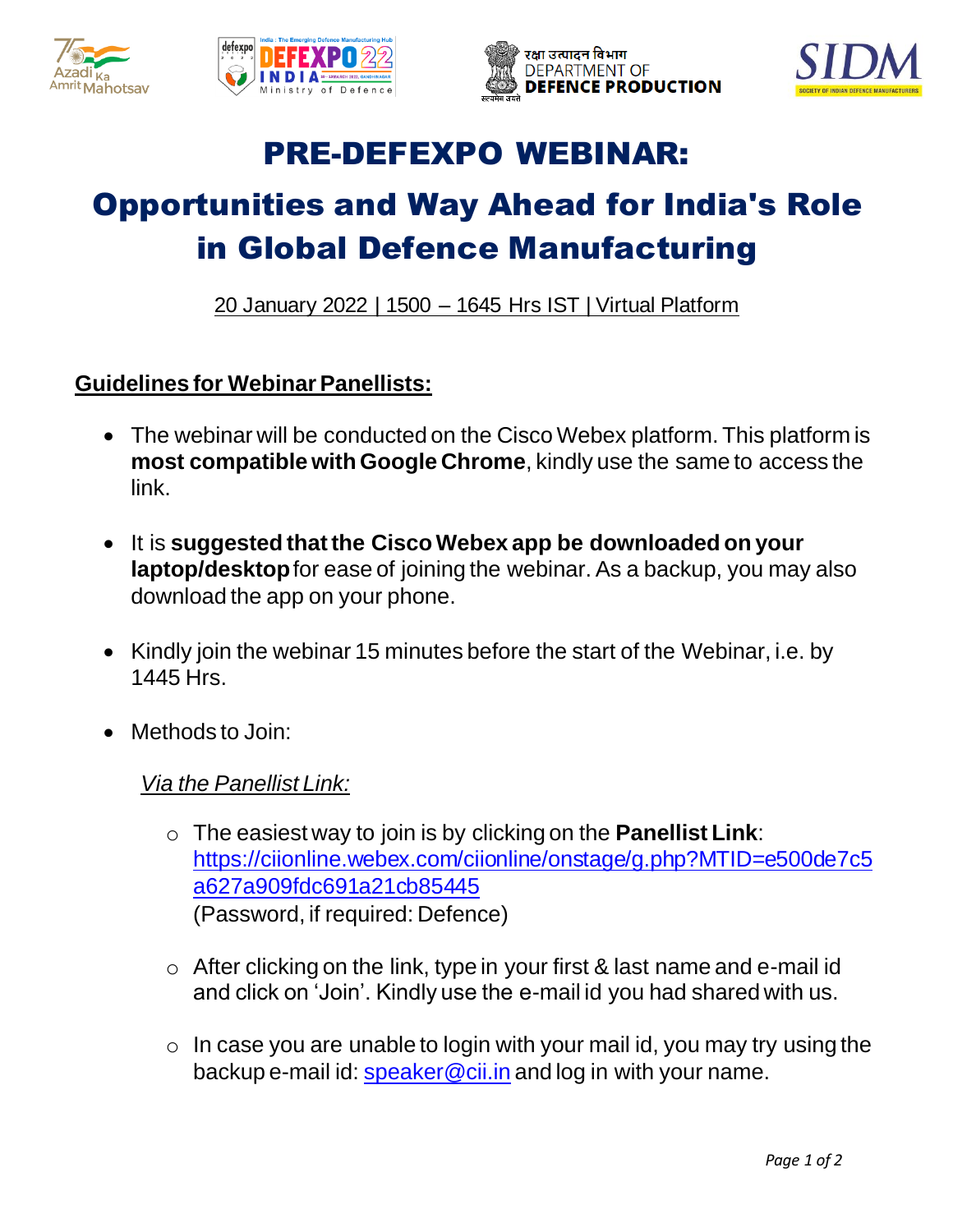







## PRE-DEFEXPO WEBINAR:

# Opportunities and Way Ahead for India's Role in Global Defence Manufacturing

20 January 2022 | 1500 – 1645 Hrs IST | Virtual Platform

### **Guidelines for Webinar Panellists:**

- The webinar will be conducted on the Cisco Webex platform. This platform is **most compatible with Google Chrome**, kindly use the same to access the link.
- It is **suggested that the Cisco Webex app be downloaded on your laptop/desktop**for ease of joining the webinar. As a backup, you may also download the app on your phone.
- Kindly join the webinar 15 minutes before the start of the Webinar, i.e. by 1445 Hrs.
- Methods to Join:

#### *Via the Panellist Link:*

- o The easiest way to join is by clicking on the **Panellist Link**: [https://ciionline.webex.com/ciionline/onstage/g.php?MTID=e500de7c5](https://ciionline.webex.com/ciionline/onstage/g.php?MTID=e500de7c5a627a909fdc691a21cb85445) [a627a909fdc691a21cb85445](https://ciionline.webex.com/ciionline/onstage/g.php?MTID=e500de7c5a627a909fdc691a21cb85445) (Password, if required: Defence)
- $\circ$  After clicking on the link, type in your first & last name and e-mail id and click on 'Join'. Kindly use the e-mail id you had shared with us.
- $\circ$  In case you are unable to login with your mail id, you may try using the backup e-mail id: [speaker@cii.in](mailto:speaker@cii.in) and log in with your name.